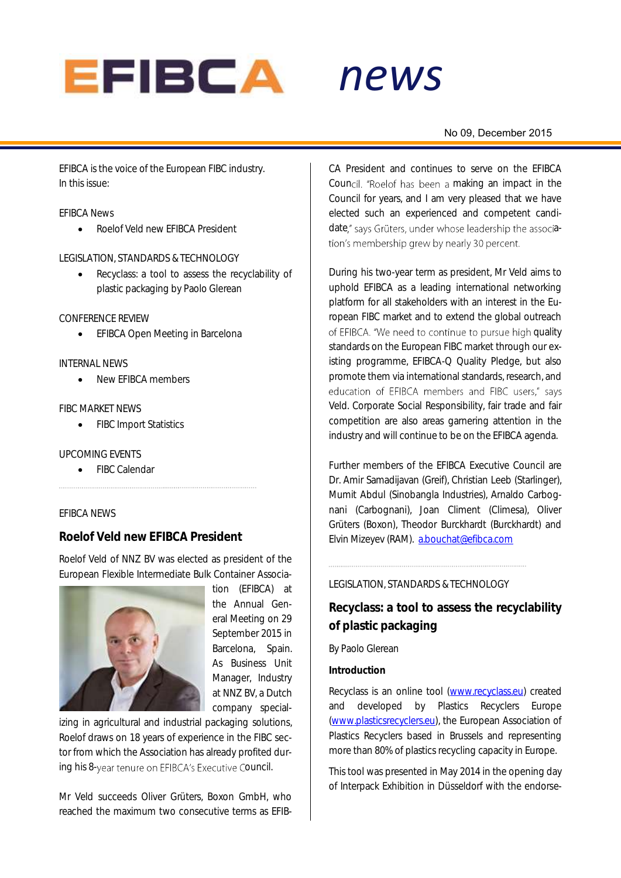

# *news*

#### No 09, December 2015

EFIBCA is the voice of the European FIBC industry. In this issue:

#### EFIBCA News

Roelof Veld new EFIBCA President

#### LEGISLATION, STANDARDS & TECHNOLOGY

• Recyclass: a tool to assess the recyclability of plastic packaging by Paolo Glerean

#### CONFERENCE REVIEW

**•** EFIBCA Open Meeting in Barcelona

#### INTERNAL NEWS

New EFIBCA members

#### FIBC MARKET NEWS

• FIBC Import Statistics

#### UPCOMING EVENTS

• FIBC Calendar

#### EFIBCA NEWS

#### **Roelof Veld new EFIBCA President**

Roelof Veld of NNZ BV was elected as president of the European Flexible Intermediate Bulk Container Associa-



tion (EFIBCA) at the Annual General Meeting on 29 September 2015 in Barcelona, Spain. As Business Unit Manager, Industry at NNZ BV, a Dutch company special-

izing in agricultural and industrial packaging solutions, Roelof draws on 18 years of experience in the FIBC sector from which the Association has already profited during his 8-year tenure on EFIBCA's Executive Council.

Mr Veld succeeds Oliver Grüters, Boxon GmbH, who reached the maximum two consecutive terms as EFIB-

*alert* CA President and continues to serve on the EFIBCA Council. "Roelof has been a making an impact in the Council for years, and I am very pleased that we have elected such an experienced and competent candidate," says Grüters, under whose leadership the association's membership grew by nearly 30 percent.

During his two-year term as president, Mr Veld aims to uphold EFIBCA as a leading international networking platform for all stakeholders with an interest in the European FIBC market and to extend the global outreach of EFIBCA. "We need to continue to pursue high quality standards on the European FIBC market through our existing programme, EFIBCA-Q Quality Pledge, but also promote them via international standards, research, and education of EFIBCA members and FIBC users," says Veld. Corporate Social Responsibility, fair trade and fair competition are also areas garnering attention in the industry and will continue to be on the EFIBCA agenda.

Further members of the EFIBCA Executive Council are Dr. Amir Samadijavan (Greif), Christian Leeb (Starlinger), Mumit Abdul (Sinobangla Industries), Arnaldo Carbognani (Carbognani), Joan Climent (Climesa), Oliver Grüters (Boxon), Theodor Burckhardt (Burckhardt) and Elvin Mizeyev (RAM). [a.bouchat@efibca.com](mailto:a.bouchat@efibca.com)

#### LEGISLATION, STANDARDS & TECHNOLOGY

**Recyclass: a tool to assess the recyclability of plastic packaging**

By Paolo Glerean

**Introduction**

Recyclass is an online tool [\(www.recyclass.eu\)](http://www.recyclass.eu/) created and developed by Plastics Recyclers Europe [\(www.plasticsrecyclers.eu\)](http://www.plasticsrecyclers.eu/), the European Association of Plastics Recyclers based in Brussels and representing more than 80% of plastics recycling capacity in Europe.

This tool was presented in May 2014 in the opening day of Interpack Exhibition in Düsseldorf with the endorse-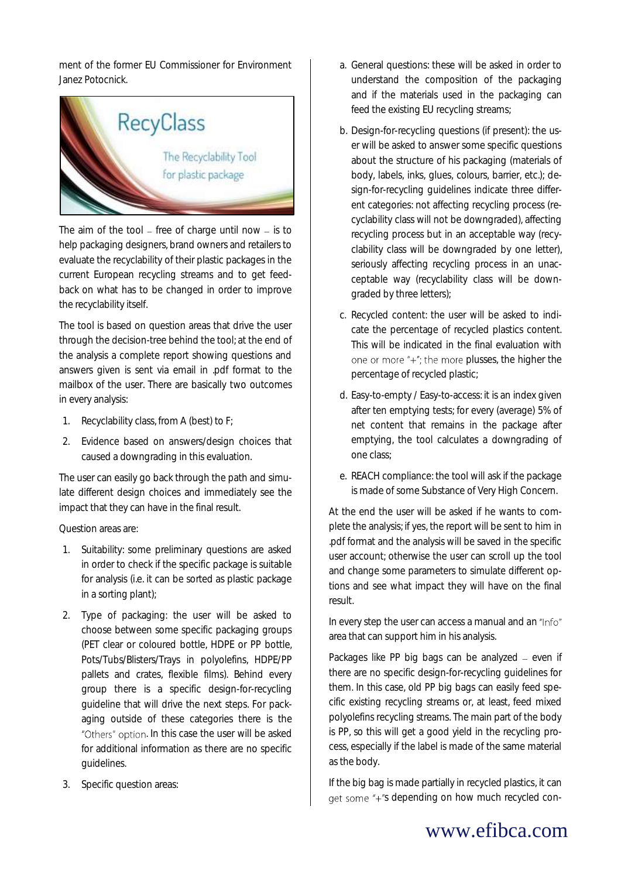ment of the former EU Commissioner for Environment Janez Potocnick.



The aim of the tool  $-$  free of charge until now  $-$  is to help packaging designers, brand owners and retailers to evaluate the recyclability of their plastic packages in the current European recycling streams and to get feedback on what has to be changed in order to improve the recyclability itself.

The tool is based on question areas that drive the user through the decision-tree behind the tool; at the end of the analysis a complete report showing questions and answers given is sent via email in .pdf format to the mailbox of the user. There are basically two outcomes in every analysis:

- 1. Recyclability class, from A (best) to F;
- 2. Evidence based on answers/design choices that caused a downgrading in this evaluation.

The user can easily go back through the path and simulate different design choices and immediately see the impact that they can have in the final result.

#### Question areas are:

- 1. Suitability: some preliminary questions are asked in order to check if the specific package is suitable for analysis (i.e. it can be sorted as plastic package in a sorting plant);
- 2. Type of packaging: the user will be asked to choose between some specific packaging groups (PET clear or coloured bottle, HDPE or PP bottle, Pots/Tubs/Blisters/Trays in polyolefins, HDPE/PP pallets and crates, flexible films). Behind every group there is a specific design-for-recycling guideline that will drive the next steps. For packaging outside of these categories there is the "Others" option. In this case the user will be asked for additional information as there are no specific guidelines.
- 3. Specific question areas:
- a. General questions: these will be asked in order to understand the composition of the packaging and if the materials used in the packaging can feed the existing EU recycling streams;
- b. Design-for-recycling questions (if present): the user will be asked to answer some specific questions about the structure of his packaging (materials of body, labels, inks, glues, colours, barrier, etc.); design-for-recycling guidelines indicate three different categories: not affecting recycling process (recyclability class will not be downgraded), affecting recycling process but in an acceptable way (recyclability class will be downgraded by one letter), seriously affecting recycling process in an unacceptable way (recyclability class will be downgraded by three letters);
- c. Recycled content: the user will be asked to indicate the percentage of recycled plastics content. This will be indicated in the final evaluation with one or more "+"; the more plusses, the higher the percentage of recycled plastic;
- d. Easy-to-empty / Easy-to-access: it is an index given after ten emptying tests; for every (average) 5% of net content that remains in the package after emptying, the tool calculates a downgrading of one class;
- e. REACH compliance: the tool will ask if the package is made of some Substance of Very High Concern.

At the end the user will be asked if he wants to complete the analysis; if yes, the report will be sent to him in .pdf format and the analysis will be saved in the specific user account; otherwise the user can scroll up the tool and change some parameters to simulate different options and see what impact they will have on the final result.

In every step the user can access a manual and an "Info" area that can support him in his analysis.

Packages like PP big bags can be analyzed  $-$  even if there are no specific design-for-recycling guidelines for them. In this case, old PP big bags can easily feed specific existing recycling streams or, at least, feed mixed polyolefins recycling streams. The main part of the body is PP, so this will get a good yield in the recycling process, especially if the label is made of the same material as the body.

If the big bag is made partially in recycled plastics, it can get some "+"s depending on how much recycled con-

# www.efibca.com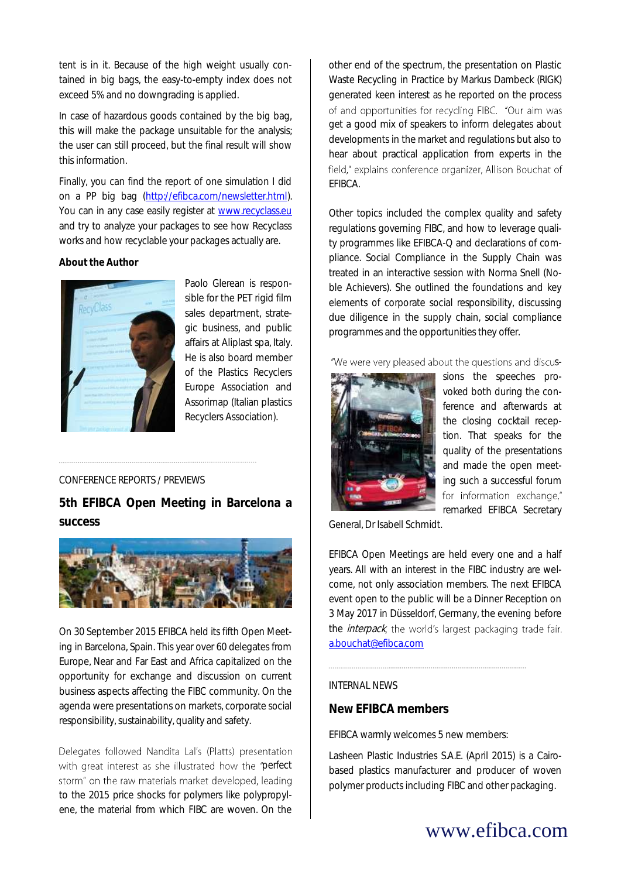tent is in it. Because of the high weight usually contained in big bags, the easy-to-empty index does not exceed 5% and no downgrading is applied.

In case of hazardous goods contained by the big bag, this will make the package unsuitable for the analysis; the user can still proceed, but the final result will show this information.

Finally, you can find the report of one simulation I did on a PP big bag [\(http://efibca.com/newsletter.html\)](http://efibca.com/newsletter.html). You can in any case easily register at [www.recyclass.eu](http://www.recyclass.eu/) and try to analyze your packages to see how Recyclass works and how recyclable your packages actually are.

**About the Author**



Paolo Glerean is responsible for the PET rigid film sales department, strategic business, and public affairs at Aliplast spa, Italy. He is also board member of the Plastics Recyclers Europe Association and Assorimap (Italian plastics Recyclers Association).

#### CONFERENCE REPORTS / PREVIEWS

**5th EFIBCA Open Meeting in Barcelona a success**



On 30 September 2015 EFIBCA held its fifth Open Meeting in Barcelona, Spain. This year over 60 delegates from Europe, Near and Far East and Africa capitalized on the opportunity for exchange and discussion on current business aspects affecting the FIBC community. On the agenda were presentations on markets, corporate social responsibility, sustainability, quality and safety.

Delegates followed Nandita Lal's (Platts) presentation with great interest as she illustrated how the "perfect storm" on the raw materials market developed, leading to the 2015 price shocks for polymers like polypropylene, the material from which FIBC are woven. On the

other end of the spectrum, the presentation on Plastic Waste Recycling in Practice by Markus Dambeck (RIGK) generated keen interest as he reported on the process of and opportunities for recycling FIBC. "Our aim was get a good mix of speakers to inform delegates about developments in the market and regulations but also to hear about practical application from experts in the field," explains conference organizer, Allison Bouchat of EFIBCA.

Other topics included the complex quality and safety regulations governing FIBC, and how to leverage quality programmes like EFIBCA-Q and declarations of compliance. Social Compliance in the Supply Chain was treated in an interactive session with Norma Snell (Noble Achievers). She outlined the foundations and key elements of corporate social responsibility, discussing due diligence in the supply chain, social compliance programmes and the opportunities they offer.

"We were very pleased about the questions and discus-



sions the speeches provoked both during the conference and afterwards at the closing cocktail reception. That speaks for the quality of the presentations and made the open meeting such a successful forum for information exchange," remarked EFIBCA Secretary

General, Dr Isabell Schmidt.

EFIBCA Open Meetings are held every one and a half years. All with an interest in the FIBC industry are welcome, not only association members. The next EFIBCA event open to the public will be a Dinner Reception on 3 May 2017 in Düsseldorf, Germany, the evening before the *interpack*, the world's largest packaging trade fair. [a.bouchat@efibca.com](mailto:a.bouchat@efibca.com)

### INTERNAL NEWS

#### **New EFIBCA members**

EFIBCA warmly welcomes 5 new members:

Lasheen Plastic Industries S.A.E. (April 2015) is a Cairobased plastics manufacturer and producer of woven polymer products including FIBC and other packaging.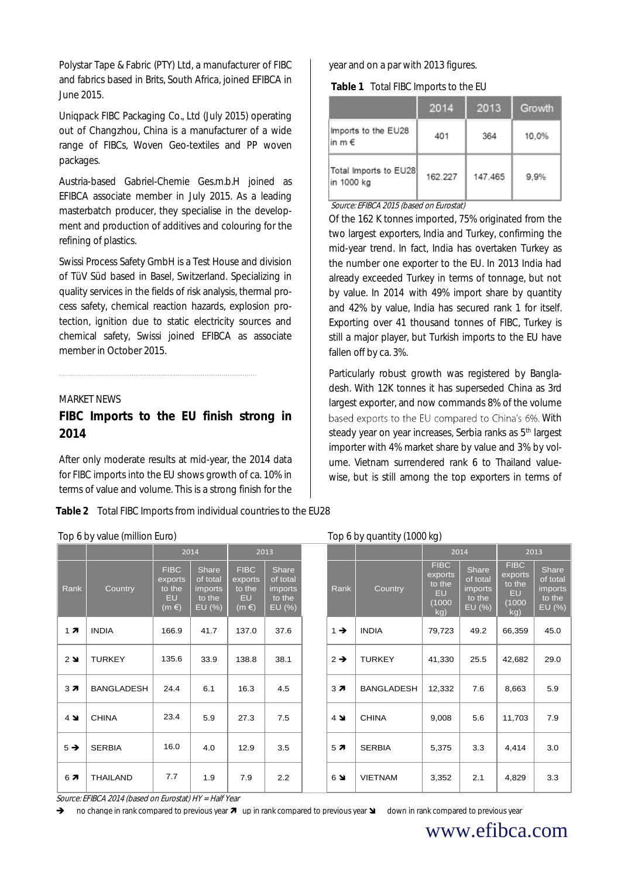Polystar Tape & Fabric (PTY) Ltd, a manufacturer of FIBC and fabrics based in Brits, South Africa, joined EFIBCA in June 2015.

Uniqpack FIBC Packaging Co., Ltd (July 2015) operating out of Changzhou, China is a manufacturer of a wide range of FIBCs, Woven Geo-textiles and PP woven packages.

Austria-based Gabriel-Chemie Ges.m.b.H joined as EFIBCA associate member in July 2015. As a leading masterbatch producer, they specialise in the development and production of additives and colouring for the refining of plastics.

Swissi Process Safety GmbH is a Test House and division of TüV Süd based in Basel, Switzerland. Specializing in quality services in the fields of risk analysis, thermal process safety, chemical reaction hazards, explosion protection, ignition due to static electricity sources and chemical safety, Swissi joined EFIBCA as associate member in October 2015.

#### MARKET NEWS

**FIBC Imports to the EU finish strong in 2014**

After only moderate results at mid-year, the 2014 data for FIBC imports into the EU shows growth of ca. 10% in terms of value and volume. This is a strong finish for the

**Table 2** Total FIBC Imports from individual countries to the EU28

| Top 6 by value (million Euro) |  |
|-------------------------------|--|
|-------------------------------|--|

year and on a par with 2013 figures.

**Table 1** Total FIBC Imports to the EU

|                                        | 2014    | 2013    | Growth |
|----------------------------------------|---------|---------|--------|
| Imports to the EU28<br>in m $\epsilon$ | 401     | 364     | 10,0%  |
| Total Imports to EU28<br>in 1000 kg    | 162.227 | 147.465 | 9.9%   |

Source: EFIBCA 2015 (based on Eurostat)

Of the 162 K tonnes imported, 75% originated from the two largest exporters, India and Turkey, confirming the mid-year trend. In fact, India has overtaken Turkey as the number one exporter to the EU. In 2013 India had already exceeded Turkey in terms of tonnage, but not by value. In 2014 with 49% import share by quantity and 42% by value, India has secured rank 1 for itself. Exporting over 41 thousand tonnes of FIBC, Turkey is still a major player, but Turkish imports to the EU have fallen off by ca. 3%.

Particularly robust growth was registered by Bangladesh. With 12K tonnes it has superseded China as 3rd largest exporter, and now commands 8% of the volume based exports to the EU compared to China's 6%. With steady year on year increases, Serbia ranks as 5<sup>th</sup> largest importer with 4% market share by value and 3% by volume. Vietnam surrendered rank 6 to Thailand valuewise, but is still among the top exporters in terms of

#### Top 6 by quantity  $(1000 \text{ km})$

|                    |                   |                                                            | 2014                                             |                                                            | 2013                                                    |  | <u>,</u><br><b>J</b> \     | $\cup$<br>2014    |                                                                | 2013                                             |                                                          |                                                         |
|--------------------|-------------------|------------------------------------------------------------|--------------------------------------------------|------------------------------------------------------------|---------------------------------------------------------|--|----------------------------|-------------------|----------------------------------------------------------------|--------------------------------------------------|----------------------------------------------------------|---------------------------------------------------------|
| Rank               | Country           | <b>FIBC</b><br>exports<br>to the<br><b>EU</b><br>$(m \in)$ | Share<br>of total<br>imports<br>to the<br>EU (%) | <b>FIBC</b><br>exports<br>to the<br><b>EU</b><br>$(m \in)$ | Share<br>of total<br><i>imports</i><br>to the<br>EU (%) |  | Rank                       | Country           | <b>FIBC</b><br>exports<br>to the<br><b>EU</b><br>(1000)<br>kg) | Share<br>of total<br>imports<br>to the<br>EU (%) | <b>FIBC</b><br>exports<br>to the<br>EU.<br>(1000)<br>kg) | Share<br>of total<br><i>imports</i><br>to the<br>EU (%) |
| 17                 | <b>INDIA</b>      | 166.9                                                      | 41.7                                             | 137.0                                                      | 37.6                                                    |  | $1 \rightarrow$            | <b>INDIA</b>      | 79,723                                                         | 49.2                                             | 66,359                                                   | 45.0                                                    |
| $2 \blacktriangle$ | <b>TURKEY</b>     | 135.6                                                      | 33.9                                             | 138.8                                                      | 38.1                                                    |  | $2 \rightarrow$            | <b>TURKEY</b>     | 41,330                                                         | 25.5                                             | 42,682                                                   | 29.0                                                    |
| 37                 | <b>BANGLADESH</b> | 24.4                                                       | 6.1                                              | 16.3                                                       | 4.5                                                     |  | 37                         | <b>BANGLADESH</b> | 12,332                                                         | 7.6                                              | 8,663                                                    | 5.9                                                     |
| $4 \blacktriangle$ | <b>CHINA</b>      | 23.4                                                       | 5.9                                              | 27.3                                                       | 7.5                                                     |  | $4 \blacktriangleright$    | <b>CHINA</b>      | 9,008                                                          | 5.6                                              | 11,703                                                   | 7.9                                                     |
| $5 \rightarrow$    | <b>SERBIA</b>     | 16.0                                                       | 4.0                                              | 12.9                                                       | 3.5                                                     |  | 5 <sub>7</sub>             | <b>SERBIA</b>     | 5,375                                                          | 3.3                                              | 4,414                                                    | 3.0                                                     |
| 67                 | <b>THAILAND</b>   | 7.7                                                        | 1.9                                              | 7.9                                                        | 2.2                                                     |  | $6\,$ $\blacktriangleleft$ | <b>VIETNAM</b>    | 3,352                                                          | 2.1                                              | 4,829                                                    | 3.3                                                     |

Source: EFIBCA 2014 (based on Eurostat) HY = Half Year

no change in rank compared to previous year  $\pi$  up in rank compared to previous year  $\Delta$  down in rank compared to previous year